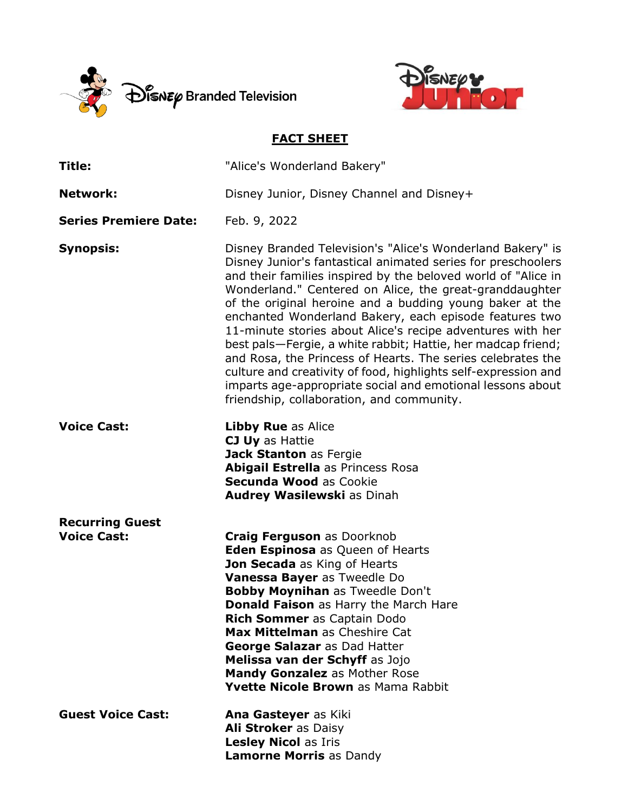



## **FACT SHEET**

| Title:                                       | "Alice's Wonderland Bakery"                                                                                                                                                                                                                                                                                                                                                                                                                                                                                                                                                                                                                                                                                                                            |
|----------------------------------------------|--------------------------------------------------------------------------------------------------------------------------------------------------------------------------------------------------------------------------------------------------------------------------------------------------------------------------------------------------------------------------------------------------------------------------------------------------------------------------------------------------------------------------------------------------------------------------------------------------------------------------------------------------------------------------------------------------------------------------------------------------------|
| <b>Network:</b>                              | Disney Junior, Disney Channel and Disney+                                                                                                                                                                                                                                                                                                                                                                                                                                                                                                                                                                                                                                                                                                              |
| <b>Series Premiere Date:</b>                 | Feb. 9, 2022                                                                                                                                                                                                                                                                                                                                                                                                                                                                                                                                                                                                                                                                                                                                           |
| <b>Synopsis:</b>                             | Disney Branded Television's "Alice's Wonderland Bakery" is<br>Disney Junior's fantastical animated series for preschoolers<br>and their families inspired by the beloved world of "Alice in<br>Wonderland." Centered on Alice, the great-granddaughter<br>of the original heroine and a budding young baker at the<br>enchanted Wonderland Bakery, each episode features two<br>11-minute stories about Alice's recipe adventures with her<br>best pals—Fergie, a white rabbit; Hattie, her madcap friend;<br>and Rosa, the Princess of Hearts. The series celebrates the<br>culture and creativity of food, highlights self-expression and<br>imparts age-appropriate social and emotional lessons about<br>friendship, collaboration, and community. |
| <b>Voice Cast:</b>                           | <b>Libby Rue as Alice</b><br>CJ Uy as Hattie<br>Jack Stanton as Fergie<br><b>Abigail Estrella as Princess Rosa</b><br><b>Secunda Wood as Cookie</b><br>Audrey Wasilewski as Dinah                                                                                                                                                                                                                                                                                                                                                                                                                                                                                                                                                                      |
| <b>Recurring Guest</b><br><b>Voice Cast:</b> | <b>Craig Ferguson as Doorknob</b><br><b>Eden Espinosa</b> as Queen of Hearts<br>Jon Secada as King of Hearts<br>Vanessa Bayer as Tweedle Do<br><b>Bobby Moynihan as Tweedle Don't</b><br>Donald Faison as Harry the March Hare<br>Rich Sommer as Captain Dodo<br><b>Max Mittelman</b> as Cheshire Cat<br>George Salazar as Dad Hatter<br>Melissa van der Schyff as Jojo<br><b>Mandy Gonzalez as Mother Rose</b><br>Yvette Nicole Brown as Mama Rabbit                                                                                                                                                                                                                                                                                                  |
| <b>Guest Voice Cast:</b>                     | Ana Gasteyer as Kiki<br>Ali Stroker as Daisy<br><b>Lesley Nicol as Iris</b><br><b>Lamorne Morris as Dandy</b>                                                                                                                                                                                                                                                                                                                                                                                                                                                                                                                                                                                                                                          |